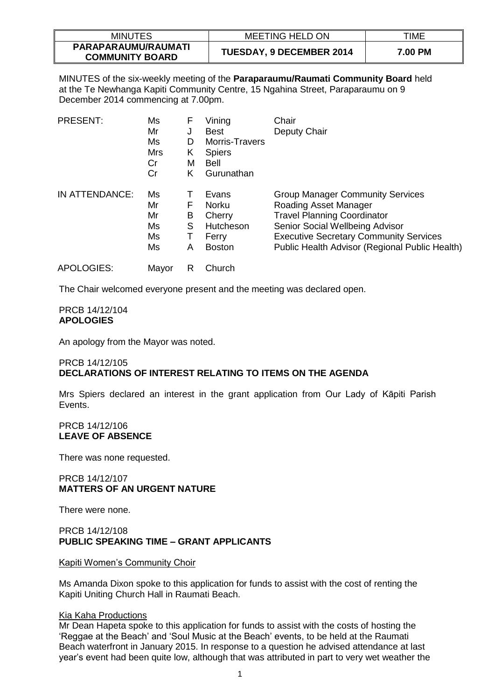| <b>MINUTES</b>                                | <b>MEETING HELD ON</b>   | TIME    |
|-----------------------------------------------|--------------------------|---------|
| PARAPARAUMU/RAUMATI<br><b>COMMUNITY BOARD</b> | TUESDAY, 9 DECEMBER 2014 | 7.00 PM |

MINUTES of the six-weekly meeting of the **Paraparaumu/Raumati Community Board** held at the Te Newhanga Kapiti Community Centre, 15 Ngahina Street, Paraparaumu on 9 December 2014 commencing at 7.00pm.

| <b>PRESENT:</b> | Ms<br>Mr<br>Ms<br><b>Mrs</b><br>Cr<br>Cr | F<br>J<br>D<br>Κ<br>M<br>Κ | Vining<br><b>Best</b><br><b>Morris-Travers</b><br><b>Spiers</b><br>Bell<br>Gurunathan | Chair<br>Deputy Chair                                                                                                                                                                                                                        |
|-----------------|------------------------------------------|----------------------------|---------------------------------------------------------------------------------------|----------------------------------------------------------------------------------------------------------------------------------------------------------------------------------------------------------------------------------------------|
| IN ATTENDANCE:  | Ms<br>Mr<br>Mr<br>Ms<br>Ms<br>Ms         | Т<br>F<br>B<br>S<br>т<br>A | Evans<br>Norku<br>Cherry<br>Hutcheson<br>Ferry<br><b>Boston</b>                       | <b>Group Manager Community Services</b><br>Roading Asset Manager<br><b>Travel Planning Coordinator</b><br>Senior Social Wellbeing Advisor<br><b>Executive Secretary Community Services</b><br>Public Health Advisor (Regional Public Health) |
| APOLOGIES:      | Mayor                                    | R                          | Church                                                                                |                                                                                                                                                                                                                                              |

The Chair welcomed everyone present and the meeting was declared open.

#### PRCB 14/12/104 **APOLOGIES**

An apology from the Mayor was noted.

## PRCB 14/12/105 **DECLARATIONS OF INTEREST RELATING TO ITEMS ON THE AGENDA**

Mrs Spiers declared an interest in the grant application from Our Lady of Kāpiti Parish Events.

# PRCB 14/12/106 **LEAVE OF ABSENCE**

There was none requested.

## PRCB 14/12/107 **MATTERS OF AN URGENT NATURE**

There were none.

## PRCB 14/12/108 **PUBLIC SPEAKING TIME – GRANT APPLICANTS**

### Kapiti Women's Community Choir

Ms Amanda Dixon spoke to this application for funds to assist with the cost of renting the Kapiti Uniting Church Hall in Raumati Beach.

### Kia Kaha Productions

Mr Dean Hapeta spoke to this application for funds to assist with the costs of hosting the 'Reggae at the Beach' and 'Soul Music at the Beach' events, to be held at the Raumati Beach waterfront in January 2015. In response to a question he advised attendance at last year's event had been quite low, although that was attributed in part to very wet weather the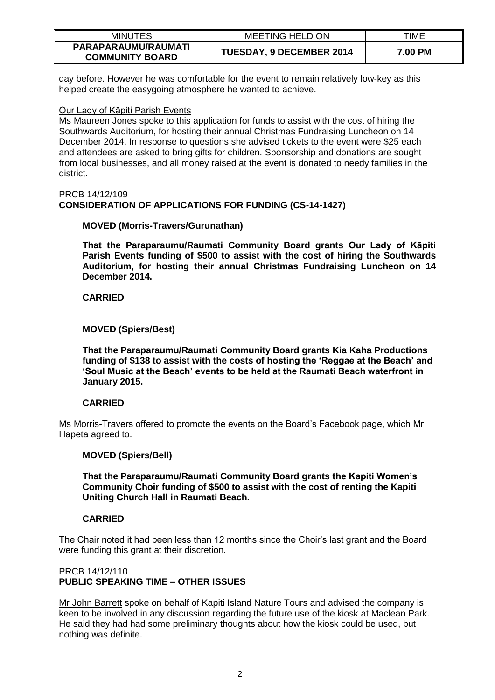| <b>MINUTES</b>                                | <b>MEETING HELD ON</b>          | TIME    |
|-----------------------------------------------|---------------------------------|---------|
| PARAPARAUMU/RAUMATI<br><b>COMMUNITY BOARD</b> | <b>TUESDAY, 9 DECEMBER 2014</b> | 7.00 PM |

day before. However he was comfortable for the event to remain relatively low-key as this helped create the easygoing atmosphere he wanted to achieve.

#### Our Lady of Kāpiti Parish Events

Ms Maureen Jones spoke to this application for funds to assist with the cost of hiring the Southwards Auditorium, for hosting their annual Christmas Fundraising Luncheon on 14 December 2014. In response to questions she advised tickets to the event were \$25 each and attendees are asked to bring gifts for children. Sponsorship and donations are sought from local businesses, and all money raised at the event is donated to needy families in the district.

#### PRCB 14/12/109 **CONSIDERATION OF APPLICATIONS FOR FUNDING (CS-14-1427)**

## **MOVED (Morris-Travers/Gurunathan)**

**That the Paraparaumu/Raumati Community Board grants Our Lady of Kāpiti Parish Events funding of \$500 to assist with the cost of hiring the Southwards Auditorium, for hosting their annual Christmas Fundraising Luncheon on 14 December 2014.** 

## **CARRIED**

## **MOVED (Spiers/Best)**

**That the Paraparaumu/Raumati Community Board grants Kia Kaha Productions funding of \$138 to assist with the costs of hosting the 'Reggae at the Beach' and 'Soul Music at the Beach' events to be held at the Raumati Beach waterfront in January 2015.** 

### **CARRIED**

Ms Morris-Travers offered to promote the events on the Board's Facebook page, which Mr Hapeta agreed to.

### **MOVED (Spiers/Bell)**

**That the Paraparaumu/Raumati Community Board grants the Kapiti Women's Community Choir funding of \$500 to assist with the cost of renting the Kapiti Uniting Church Hall in Raumati Beach.**

### **CARRIED**

The Chair noted it had been less than 12 months since the Choir's last grant and the Board were funding this grant at their discretion.

### PRCB 14/12/110 **PUBLIC SPEAKING TIME – OTHER ISSUES**

Mr John Barrett spoke on behalf of Kapiti Island Nature Tours and advised the company is keen to be involved in any discussion regarding the future use of the kiosk at Maclean Park. He said they had had some preliminary thoughts about how the kiosk could be used, but nothing was definite.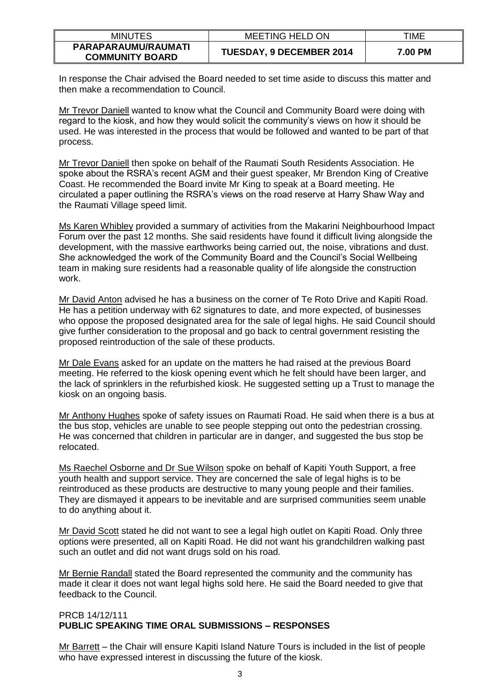| <b>MINUTES</b>                                | <b>MEETING HELD ON</b>          | <b>TIME</b> |
|-----------------------------------------------|---------------------------------|-------------|
| PARAPARAUMU/RAUMATI<br><b>COMMUNITY BOARD</b> | <b>TUESDAY, 9 DECEMBER 2014</b> | 7.00 PM     |

In response the Chair advised the Board needed to set time aside to discuss this matter and then make a recommendation to Council.

Mr Trevor Daniell wanted to know what the Council and Community Board were doing with regard to the kiosk, and how they would solicit the community's views on how it should be used. He was interested in the process that would be followed and wanted to be part of that process.

Mr Trevor Daniell then spoke on behalf of the Raumati South Residents Association. He spoke about the RSRA's recent AGM and their guest speaker, Mr Brendon King of Creative Coast. He recommended the Board invite Mr King to speak at a Board meeting. He circulated a paper outlining the RSRA's views on the road reserve at Harry Shaw Way and the Raumati Village speed limit.

Ms Karen Whibley provided a summary of activities from the Makarini Neighbourhood Impact Forum over the past 12 months. She said residents have found it difficult living alongside the development, with the massive earthworks being carried out, the noise, vibrations and dust. She acknowledged the work of the Community Board and the Council's Social Wellbeing team in making sure residents had a reasonable quality of life alongside the construction work.

Mr David Anton advised he has a business on the corner of Te Roto Drive and Kapiti Road. He has a petition underway with 62 signatures to date, and more expected, of businesses who oppose the proposed designated area for the sale of legal highs. He said Council should give further consideration to the proposal and go back to central government resisting the proposed reintroduction of the sale of these products.

Mr Dale Evans asked for an update on the matters he had raised at the previous Board meeting. He referred to the kiosk opening event which he felt should have been larger, and the lack of sprinklers in the refurbished kiosk. He suggested setting up a Trust to manage the kiosk on an ongoing basis.

Mr Anthony Hughes spoke of safety issues on Raumati Road. He said when there is a bus at the bus stop, vehicles are unable to see people stepping out onto the pedestrian crossing. He was concerned that children in particular are in danger, and suggested the bus stop be relocated.

Ms Raechel Osborne and Dr Sue Wilson spoke on behalf of Kapiti Youth Support, a free youth health and support service. They are concerned the sale of legal highs is to be reintroduced as these products are destructive to many young people and their families. They are dismayed it appears to be inevitable and are surprised communities seem unable to do anything about it.

Mr David Scott stated he did not want to see a legal high outlet on Kapiti Road. Only three options were presented, all on Kapiti Road. He did not want his grandchildren walking past such an outlet and did not want drugs sold on his road.

Mr Bernie Randall stated the Board represented the community and the community has made it clear it does not want legal highs sold here. He said the Board needed to give that feedback to the Council.

# PRCB 14/12/111 **PUBLIC SPEAKING TIME ORAL SUBMISSIONS – RESPONSES**

Mr Barrett – the Chair will ensure Kapiti Island Nature Tours is included in the list of people who have expressed interest in discussing the future of the kiosk.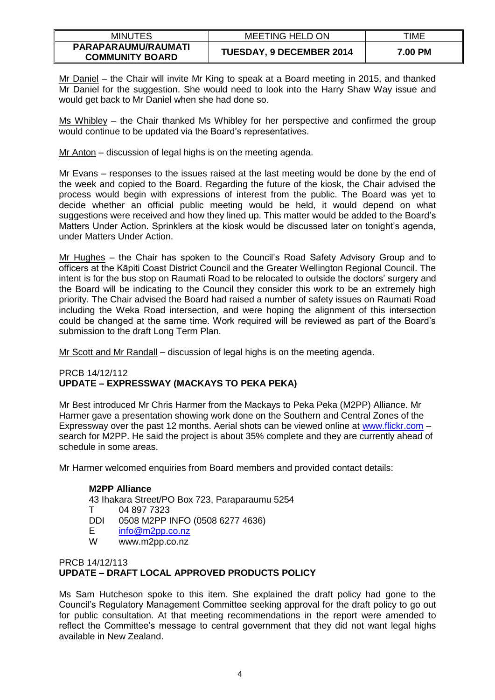| <b>MINUTES</b>                                | <b>MEETING HELD ON</b>   | TIME    |
|-----------------------------------------------|--------------------------|---------|
| PARAPARAUMU/RAUMATI<br><b>COMMUNITY BOARD</b> | TUESDAY, 9 DECEMBER 2014 | 7.00 PM |

Mr Daniel – the Chair will invite Mr King to speak at a Board meeting in 2015, and thanked Mr Daniel for the suggestion. She would need to look into the Harry Shaw Way issue and would get back to Mr Daniel when she had done so.

Ms Whibley – the Chair thanked Ms Whibley for her perspective and confirmed the group would continue to be updated via the Board's representatives.

Mr Anton – discussion of legal highs is on the meeting agenda.

Mr Evans – responses to the issues raised at the last meeting would be done by the end of the week and copied to the Board. Regarding the future of the kiosk, the Chair advised the process would begin with expressions of interest from the public. The Board was yet to decide whether an official public meeting would be held, it would depend on what suggestions were received and how they lined up. This matter would be added to the Board's Matters Under Action. Sprinklers at the kiosk would be discussed later on tonight's agenda, under Matters Under Action.

Mr Hughes – the Chair has spoken to the Council's Road Safety Advisory Group and to officers at the Kāpiti Coast District Council and the Greater Wellington Regional Council. The intent is for the bus stop on Raumati Road to be relocated to outside the doctors' surgery and the Board will be indicating to the Council they consider this work to be an extremely high priority. The Chair advised the Board had raised a number of safety issues on Raumati Road including the Weka Road intersection, and were hoping the alignment of this intersection could be changed at the same time. Work required will be reviewed as part of the Board's submission to the draft Long Term Plan.

Mr Scott and Mr Randall – discussion of legal highs is on the meeting agenda.

## PRCB 14/12/112 **UPDATE – EXPRESSWAY (MACKAYS TO PEKA PEKA)**

Mr Best introduced Mr Chris Harmer from the Mackays to Peka Peka (M2PP) Alliance. Mr Harmer gave a presentation showing work done on the Southern and Central Zones of the Expressway over the past 12 months. Aerial shots can be viewed online at [www.flickr.com](http://www.flickr.com/) – search for M2PP. He said the project is about 35% complete and they are currently ahead of schedule in some areas.

Mr Harmer welcomed enquiries from Board members and provided contact details:

# **M2PP Alliance**

43 Ihakara Street/PO Box 723, Paraparaumu 5254

- T 04 897 7323
- DDI 0508 M2PP INFO (0508 6277 4636)
- E [info@m2pp.co.nz](mailto:info@m2pp.co.nz)
- W www.m2pp.co.nz

# PRCB 14/12/113 **UPDATE – DRAFT LOCAL APPROVED PRODUCTS POLICY**

Ms Sam Hutcheson spoke to this item. She explained the draft policy had gone to the Council's Regulatory Management Committee seeking approval for the draft policy to go out for public consultation. At that meeting recommendations in the report were amended to reflect the Committee's message to central government that they did not want legal highs available in New Zealand.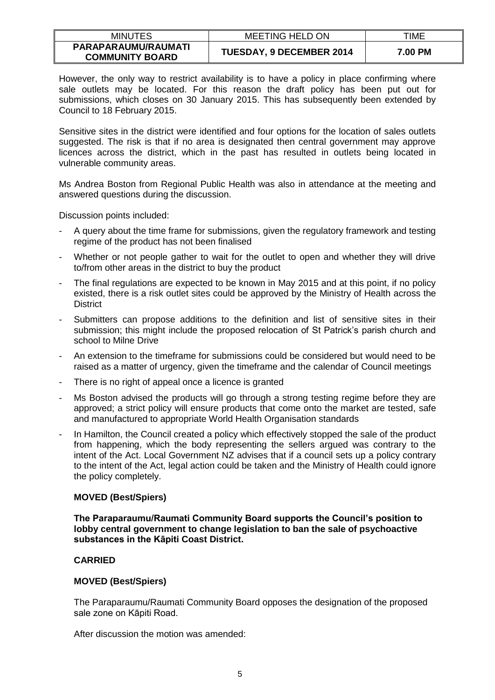| <b>MINUTES</b>                                | <b>MEETING HELD ON</b>          | TIME    |
|-----------------------------------------------|---------------------------------|---------|
| PARAPARAUMU/RAUMATI<br><b>COMMUNITY BOARD</b> | <b>TUESDAY, 9 DECEMBER 2014</b> | 7.00 PM |

However, the only way to restrict availability is to have a policy in place confirming where sale outlets may be located. For this reason the draft policy has been put out for submissions, which closes on 30 January 2015. This has subsequently been extended by Council to 18 February 2015.

Sensitive sites in the district were identified and four options for the location of sales outlets suggested. The risk is that if no area is designated then central government may approve licences across the district, which in the past has resulted in outlets being located in vulnerable community areas.

Ms Andrea Boston from Regional Public Health was also in attendance at the meeting and answered questions during the discussion.

Discussion points included:

- A query about the time frame for submissions, given the regulatory framework and testing regime of the product has not been finalised
- Whether or not people gather to wait for the outlet to open and whether they will drive to/from other areas in the district to buy the product
- The final regulations are expected to be known in May 2015 and at this point, if no policy existed, there is a risk outlet sites could be approved by the Ministry of Health across the **District**
- Submitters can propose additions to the definition and list of sensitive sites in their submission; this might include the proposed relocation of St Patrick's parish church and school to Milne Drive
- An extension to the timeframe for submissions could be considered but would need to be raised as a matter of urgency, given the timeframe and the calendar of Council meetings
- There is no right of appeal once a licence is granted
- Ms Boston advised the products will go through a strong testing regime before they are approved; a strict policy will ensure products that come onto the market are tested, safe and manufactured to appropriate World Health Organisation standards
- In Hamilton, the Council created a policy which effectively stopped the sale of the product from happening, which the body representing the sellers argued was contrary to the intent of the Act. Local Government NZ advises that if a council sets up a policy contrary to the intent of the Act, legal action could be taken and the Ministry of Health could ignore the policy completely.

### **MOVED (Best/Spiers)**

**The Paraparaumu/Raumati Community Board supports the Council's position to lobby central government to change legislation to ban the sale of psychoactive substances in the Kāpiti Coast District.** 

### **CARRIED**

### **MOVED (Best/Spiers)**

The Paraparaumu/Raumati Community Board opposes the designation of the proposed sale zone on Kāpiti Road.

After discussion the motion was amended: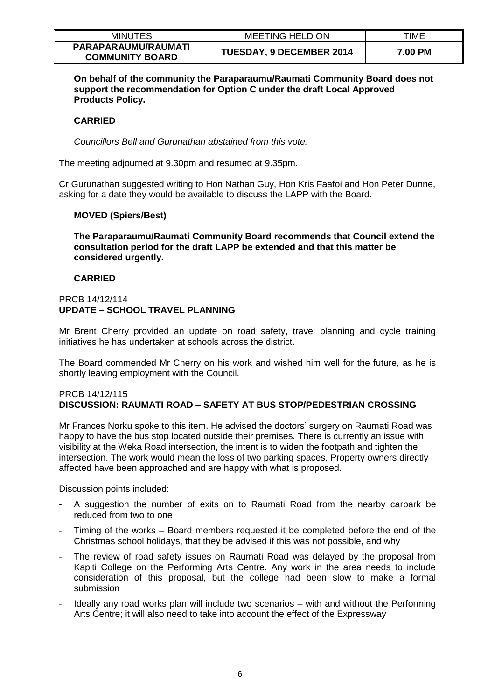| <b>MINUTES</b>                                | <b>MEETING HELD ON</b>   | TIME    |
|-----------------------------------------------|--------------------------|---------|
| PARAPARAUMU/RAUMATI<br><b>COMMUNITY BOARD</b> | TUESDAY, 9 DECEMBER 2014 | 7.00 PM |

**On behalf of the community the Paraparaumu/Raumati Community Board does not support the recommendation for Option C under the draft Local Approved Products Policy.** 

### **CARRIED**

*Councillors Bell and Gurunathan abstained from this vote.* 

The meeting adjourned at 9.30pm and resumed at 9.35pm.

Cr Gurunathan suggested writing to Hon Nathan Guy, Hon Kris Faafoi and Hon Peter Dunne, asking for a date they would be available to discuss the LAPP with the Board.

### **MOVED (Spiers/Best)**

**The Paraparaumu/Raumati Community Board recommends that Council extend the consultation period for the draft LAPP be extended and that this matter be considered urgently.** 

### **CARRIED**

## PRCB 14/12/114 **UPDATE – SCHOOL TRAVEL PLANNING**

Mr Brent Cherry provided an update on road safety, travel planning and cycle training initiatives he has undertaken at schools across the district.

The Board commended Mr Cherry on his work and wished him well for the future, as he is shortly leaving employment with the Council.

### PRCB 14/12/115 **DISCUSSION: RAUMATI ROAD – SAFETY AT BUS STOP/PEDESTRIAN CROSSING**

Mr Frances Norku spoke to this item. He advised the doctors' surgery on Raumati Road was happy to have the bus stop located outside their premises. There is currently an issue with visibility at the Weka Road intersection, the intent is to widen the footpath and tighten the intersection. The work would mean the loss of two parking spaces. Property owners directly affected have been approached and are happy with what is proposed.

Discussion points included:

- A suggestion the number of exits on to Raumati Road from the nearby carpark be reduced from two to one
- Timing of the works Board members requested it be completed before the end of the Christmas school holidays, that they be advised if this was not possible, and why
- The review of road safety issues on Raumati Road was delayed by the proposal from Kapiti College on the Performing Arts Centre. Any work in the area needs to include consideration of this proposal, but the college had been slow to make a formal submission
- Ideally any road works plan will include two scenarios with and without the Performing Arts Centre; it will also need to take into account the effect of the Expressway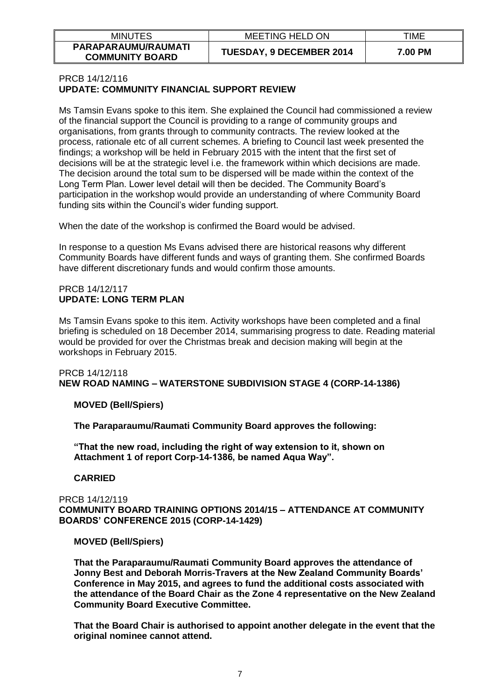| <b>MINUTES</b>                                | <b>MEETING HELD ON</b>          | TIME    |
|-----------------------------------------------|---------------------------------|---------|
| PARAPARAUMU/RAUMATI<br><b>COMMUNITY BOARD</b> | <b>TUESDAY, 9 DECEMBER 2014</b> | 7.00 PM |

#### PRCB 14/12/116 **UPDATE: COMMUNITY FINANCIAL SUPPORT REVIEW**

Ms Tamsin Evans spoke to this item. She explained the Council had commissioned a review of the financial support the Council is providing to a range of community groups and organisations, from grants through to community contracts. The review looked at the process, rationale etc of all current schemes. A briefing to Council last week presented the findings; a workshop will be held in February 2015 with the intent that the first set of decisions will be at the strategic level i.e. the framework within which decisions are made. The decision around the total sum to be dispersed will be made within the context of the Long Term Plan. Lower level detail will then be decided. The Community Board's participation in the workshop would provide an understanding of where Community Board funding sits within the Council's wider funding support.

When the date of the workshop is confirmed the Board would be advised.

In response to a question Ms Evans advised there are historical reasons why different Community Boards have different funds and ways of granting them. She confirmed Boards have different discretionary funds and would confirm those amounts.

## PRCB 14/12/117 **UPDATE: LONG TERM PLAN**

Ms Tamsin Evans spoke to this item. Activity workshops have been completed and a final briefing is scheduled on 18 December 2014, summarising progress to date. Reading material would be provided for over the Christmas break and decision making will begin at the workshops in February 2015.

# PRCB 14/12/118 **NEW ROAD NAMING – WATERSTONE SUBDIVISION STAGE 4 (CORP-14-1386)**

# **MOVED (Bell/Spiers)**

**The Paraparaumu/Raumati Community Board approves the following:** 

**"That the new road, including the right of way extension to it, shown on Attachment 1 of report Corp-14-1386, be named Aqua Way".** 

# **CARRIED**

PRCB 14/12/119 **COMMUNITY BOARD TRAINING OPTIONS 2014/15 – ATTENDANCE AT COMMUNITY BOARDS' CONFERENCE 2015 (CORP-14-1429)**

# **MOVED (Bell/Spiers)**

**That the Paraparaumu/Raumati Community Board approves the attendance of Jonny Best and Deborah Morris-Travers at the New Zealand Community Boards' Conference in May 2015, and agrees to fund the additional costs associated with the attendance of the Board Chair as the Zone 4 representative on the New Zealand Community Board Executive Committee.**

**That the Board Chair is authorised to appoint another delegate in the event that the original nominee cannot attend.**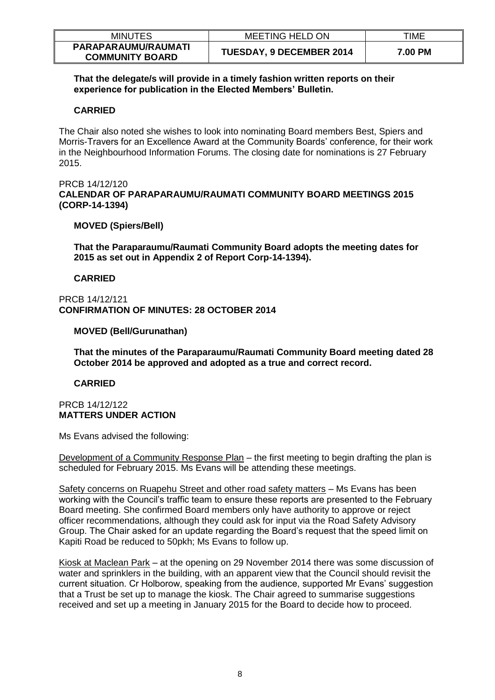| <b>MINUTES</b>                                | <b>MEETING HELD ON</b>          | TIME    |
|-----------------------------------------------|---------------------------------|---------|
| PARAPARAUMU/RAUMATI<br><b>COMMUNITY BOARD</b> | <b>TUESDAY, 9 DECEMBER 2014</b> | 7.00 PM |

**That the delegate/s will provide in a timely fashion written reports on their experience for publication in the Elected Members' Bulletin.** 

## **CARRIED**

The Chair also noted she wishes to look into nominating Board members Best, Spiers and Morris-Travers for an Excellence Award at the Community Boards' conference, for their work in the Neighbourhood Information Forums. The closing date for nominations is 27 February 2015.

PRCB 14/12/120 **CALENDAR OF PARAPARAUMU/RAUMATI COMMUNITY BOARD MEETINGS 2015 (CORP-14-1394)**

## **MOVED (Spiers/Bell)**

**That the Paraparaumu/Raumati Community Board adopts the meeting dates for 2015 as set out in Appendix 2 of Report Corp-14-1394).** 

### **CARRIED**

PRCB 14/12/121 **CONFIRMATION OF MINUTES: 28 OCTOBER 2014**

## **MOVED (Bell/Gurunathan)**

**That the minutes of the Paraparaumu/Raumati Community Board meeting dated 28 October 2014 be approved and adopted as a true and correct record.**

### **CARRIED**

### PRCB 14/12/122 **MATTERS UNDER ACTION**

Ms Evans advised the following:

Development of a Community Response Plan – the first meeting to begin drafting the plan is scheduled for February 2015. Ms Evans will be attending these meetings.

Safety concerns on Ruapehu Street and other road safety matters – Ms Evans has been working with the Council's traffic team to ensure these reports are presented to the February Board meeting. She confirmed Board members only have authority to approve or reject officer recommendations, although they could ask for input via the Road Safety Advisory Group. The Chair asked for an update regarding the Board's request that the speed limit on Kapiti Road be reduced to 50pkh; Ms Evans to follow up.

Kiosk at Maclean Park – at the opening on 29 November 2014 there was some discussion of water and sprinklers in the building, with an apparent view that the Council should revisit the current situation. Cr Holborow, speaking from the audience, supported Mr Evans' suggestion that a Trust be set up to manage the kiosk. The Chair agreed to summarise suggestions received and set up a meeting in January 2015 for the Board to decide how to proceed.